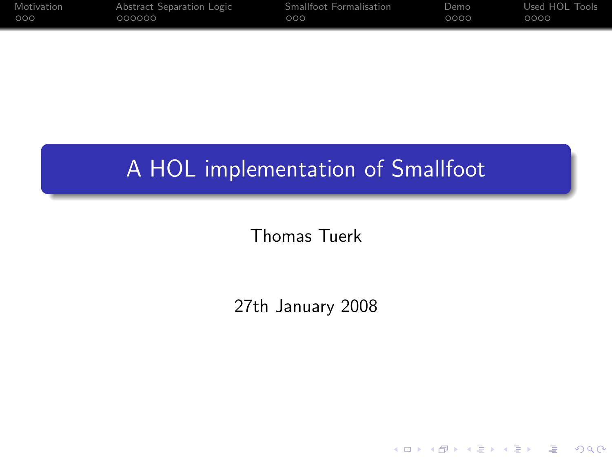| Motivation | Abstract Separation Logic | Smallfoot Formalisation | Demo | Used HOL Tools |
|------------|---------------------------|-------------------------|------|----------------|
| 000        | 000000                    | OOO                     | 0000 | 0000           |

## A HOL implementation of Smallfoot

Thomas Tuerk

27th January 2008

K ロ ▶ K @ ▶ K 할 > K 할 > 1 할 | X 9 Q @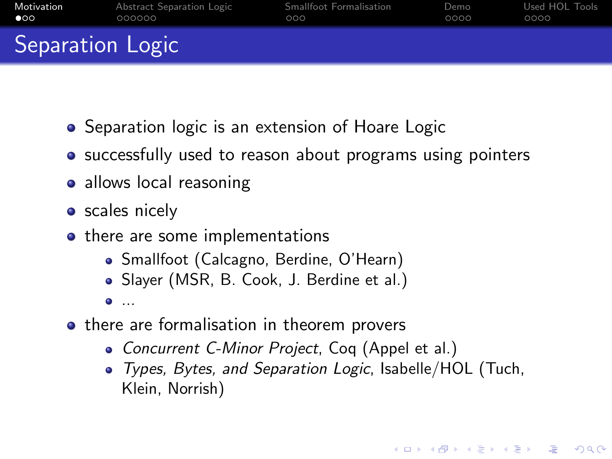| Motivation       | Abstract Separation Logic | Smallfoot Formalisation | Demo | Used HOL Tools |
|------------------|---------------------------|-------------------------|------|----------------|
| $\bullet$        | 000000                    | 000                     | 0000 | 0000           |
| Separation Logic |                           |                         |      |                |

- Separation logic is an extension of Hoare Logic
- successfully used to reason about programs using pointers
- allows local reasoning
- **•** scales nicely
- there are some implementations
	- Smallfoot (Calcagno, Berdine, O'Hearn)
	- Slayer (MSR, B. Cook, J. Berdine et al.)
	- $\bullet$  ...
- <span id="page-1-0"></span>• there are formalisation in theorem provers
	- Concurrent C-Minor Project, Coq (Appel et al.)
	- Types, Bytes, and Separation Logic, Isabelle/HOL (Tuch, Klein, Norrish)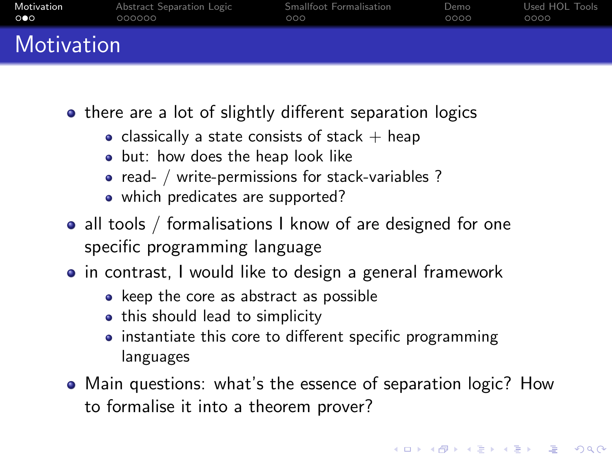| Motivation          | Abstract Separation Logic | Smallfoot Formalisation | Demo | Used HOL Tools |
|---------------------|---------------------------|-------------------------|------|----------------|
| $\circ\bullet\circ$ | 000000                    | റററ                     | 0000 | 0000           |
| Motivation          |                           |                         |      |                |

- there are a lot of slightly different separation logics
	- classically a state consists of stack  $+$  heap
	- but: how does the heap look like
	- read- / write-permissions for stack-variables ?
	- which predicates are supported?
- all tools / formalisations I know of are designed for one specific programming language
- in contrast, I would like to design a general framework
	- keep the core as abstract as possible
	- this should lead to simplicity
	- instantiate this core to different specific programming languages
- Main questions: what's the essence of separation logic? How to formalise it into a theorem prover?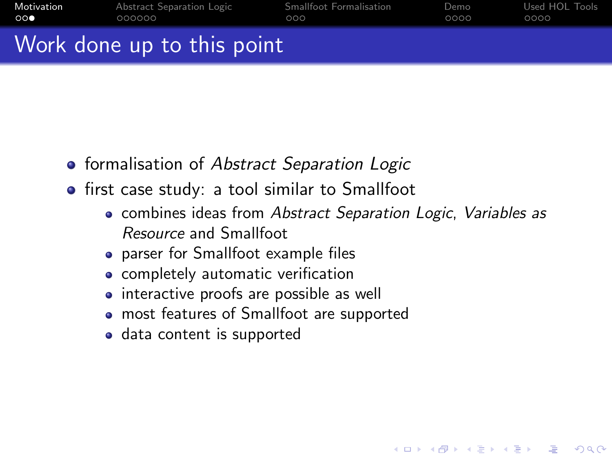| Motivation | Abstract Separation Logic  | Smallfoot Formalisation | Demo | Used HOL Tools |
|------------|----------------------------|-------------------------|------|----------------|
| െ          | 000000                     | റററ                     | 0000 | 0000           |
|            | Work done up to this point |                         |      |                |

- **•** formalisation of Abstract Separation Logic
- **•** first case study: a tool similar to Smallfoot
	- combines ideas from Abstract Separation Logic, Variables as Resource and Smallfoot

**KORK ERKER ER AGA** 

- parser for Smallfoot example files
- **•** completely automatic verification
- interactive proofs are possible as well
- most features of Smallfoot are supported
- data content is supported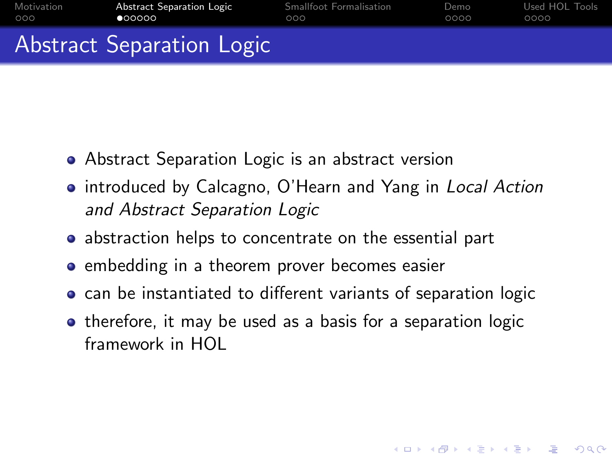| Motivation | Abstract Separation Logic | Smallfoot Formalisation | Demo | Used HOL Tools |
|------------|---------------------------|-------------------------|------|----------------|
| 000        | 000000                    | റററ                     | 0000 | 0000           |
|            | Abstract Separation Logic |                         |      |                |

- Abstract Separation Logic is an abstract version
- introduced by Calcagno, O'Hearn and Yang in Local Action and Abstract Separation Logic
- abstraction helps to concentrate on the essential part
- embedding in a theorem prover becomes easier
- can be instantiated to different variants of separation logic
- <span id="page-4-0"></span>• therefore, it may be used as a basis for a separation logic framework in HOL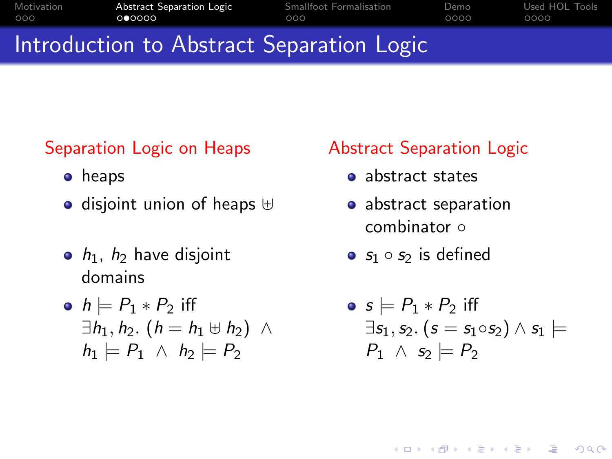| Motivation | Abstract Separation Logic                 | Smallfoot Formalisation | Demo | Used HOL Tools |
|------------|-------------------------------------------|-------------------------|------|----------------|
| 000        | 000000                                    | റററ                     | ററററ | 0000           |
|            | Introduction to Abstract Separation Logic |                         |      |                |

## Separation Logic on Heaps

- **•** heaps
- $\bullet$  disjoint union of heaps  $\uplus$
- $\bullet$   $h_1$ ,  $h_2$  have disjoint domains

• 
$$
h \models P_1 * P_2
$$
 iff  
\n $\exists h_1, h_2. (h = h_1 \uplus h_2) \land$   
\n $h_1 \models P_1 \land h_2 \models P_2$ 

### Abstract Separation Logic

- abstract states
- abstract separation combinator ∘
- $s_1 \circ s_2$  is defined

$$
\begin{array}{l}\n\bullet \ s \models P_1 * P_2 \ \text{iff} \\
\exists s_1, s_2. \ (s = s_1 \circ s_2) \land s_1 \models \\
P_1 \land s_2 \models P_2\n\end{array}
$$

**KOD KAR KED KED E VOQO**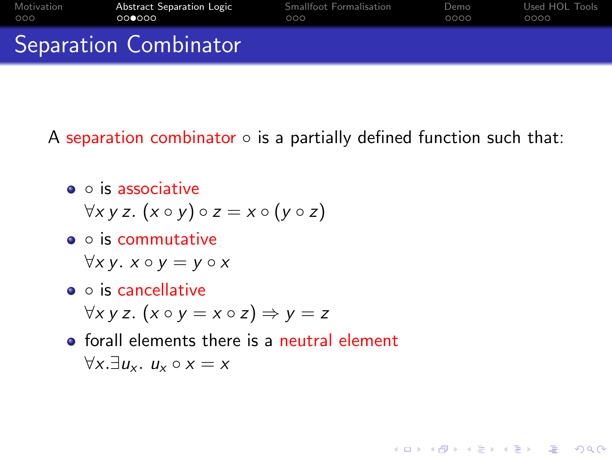| Motivation | Abstract Separation Logic    | <b>Smallfoot Formalisation</b> | Demo | Used HOL Tools |
|------------|------------------------------|--------------------------------|------|----------------|
| 000        | റററേററ                       | റററ                            | 0000 | 0000           |
|            | <b>Separation Combinator</b> |                                |      |                |

A separation combinator  $\circ$  is a partially defined function such that:

**AD A REAKEN E YOUR** 

- $\bullet$   $\circ$  is associative
	- $\forall x \vee z.$   $(x \circ y) \circ z = x \circ (y \circ z)$
- o is commutative

 $\forall x \, y. \ x \circ y = y \circ x$ 

- o is cancellative  $\forall x \, y \, z.$   $(x \circ y = x \circ z) \Rightarrow y = z$
- **o** forall elements there is a neutral element  $\forall x. \exists u, u \circ x = x$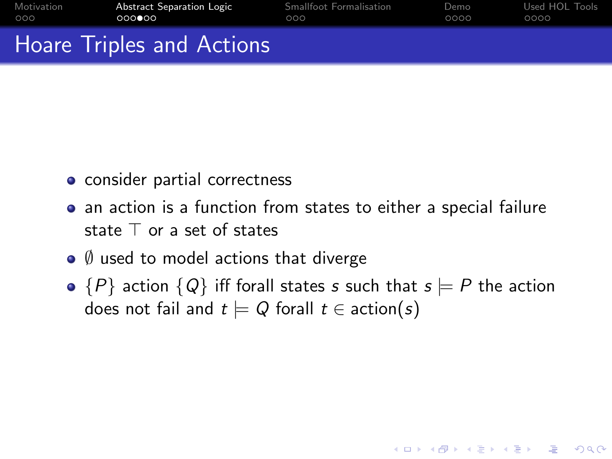| Motivation | Abstract Separation Logic | Smallfoot Formalisation | Demo | Used HOL Tools |
|------------|---------------------------|-------------------------|------|----------------|
| 000        | 000000                    | റററ                     | 0000 | 0000           |
|            | Hoare Triples and Actions |                         |      |                |

- consider partial correctness
- an action is a function from states to either a special failure state  $\top$  or a set of states
- $\bullet$   $\emptyset$  used to model actions that diverge
- $\bullet$  {P} action {Q} iff forall states s such that  $s \models P$  the action does not fail and  $t \models Q$  forall  $t \in \text{action}(s)$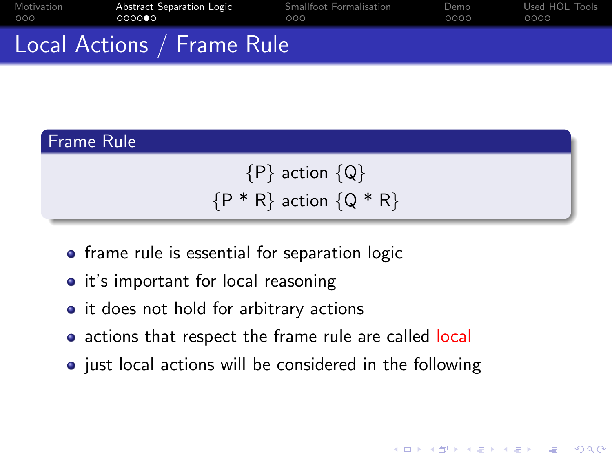| Motivation | Abstract Separation Logic  | Smallfoot Formalisation | Demo | Used HOL Tools |
|------------|----------------------------|-------------------------|------|----------------|
| 000        | 000000                     | റററ                     | 0000 | 0000           |
|            | Local Actions / Frame Rule |                         |      |                |

# Frame Rule  ${P}$  action  ${Q}$  ${P * R}$  action  ${Q * R}$

- frame rule is essential for separation logic
- it's important for local reasoning
- it does not hold for arbitrary actions
- actions that respect the frame rule are called local
- $\bullet$  just local actions will be considered in the following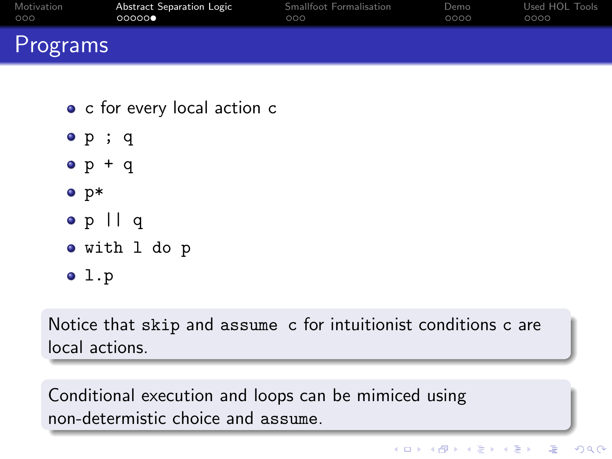| Motivation | Abstract Separation Logic | Smallfoot Formalisation | Demo | Used HOL Tools |
|------------|---------------------------|-------------------------|------|----------------|
| 000        | 00000                     | 000                     | 0000 | 0000           |
| Programs   |                           |                         |      |                |

- c for every local action c
- p ; q
- $o p + q$
- $\bullet$  p\*
- p || q
- with l do p
- $01.p$

Notice that skip and assume c for intuitionist conditions c are local actions.

Conditional execution and loops can be mimiced using non-determistic choice and assume.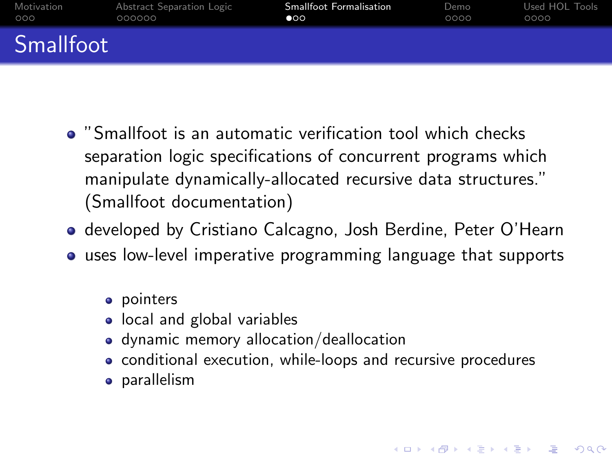| Motivation       | Abstract Separation Logic | <b>Smallfoot Formalisation</b> | Demo | Used HOL Tools |
|------------------|---------------------------|--------------------------------|------|----------------|
| 000              | 000000                    | $\circ \circ$                  | 0000 | 0000           |
| <b>Smallfoot</b> |                           |                                |      |                |

- "Smallfoot is an automatic verification tool which checks separation logic specifications of concurrent programs which manipulate dynamically-allocated recursive data structures." (Smallfoot documentation)
- developed by Cristiano Calcagno, Josh Berdine, Peter O'Hearn
- uses low-level imperative programming language that supports
	- pointers
	- local and global variables
	- dynamic memory allocation/deallocation
	- conditional execution, while-loops and recursive procedures

<span id="page-10-0"></span>• parallelism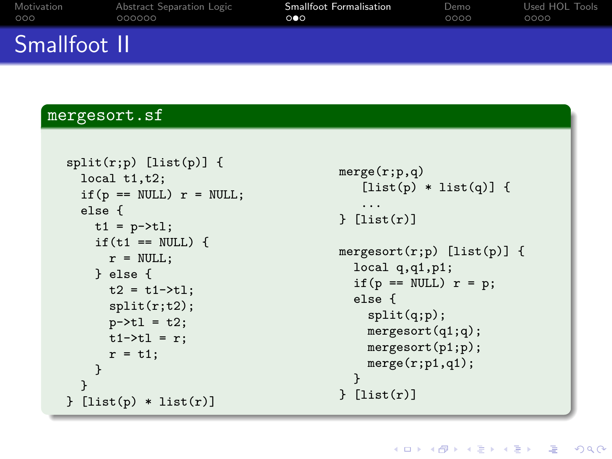| Motivation   | Abstract Separation Logic | <b>Smallfoot Formalisation</b> | Demo | Used HOL Tools |
|--------------|---------------------------|--------------------------------|------|----------------|
| 000          | 000000                    | ം                              | 0000 | 0000           |
| Smallfoot II |                           |                                |      |                |

#### mergesort.sf

```
split(r;p) [list(p)] {
  local t1,t2;
  if(p == NULL) r = NULL;else {
    t1 = p - \frac{t}{t};if(t1 == NULL) {
      r = NULL;} else {
      t2 = t1 - \frac{1}{1};
      split(r;t2);
      p - > t1 = t2;
      t1-\geq t1 = r:
      r = t1:
    }
  }
{}_{i} [list(p) * list(r)]
```

```
merge(r;p,q)
   [iist(p) * list(q)] {
   ...
[list(r)]mergesort(r;p) [list(p)] {
 local q,q1,p1;
  if(p == NULL) r = p;
 else {
    split(q;p);
   mergesort(q1;q);
   mergesort(p1;p);
   merge(r;p1,q1);}
} [list(r)]
```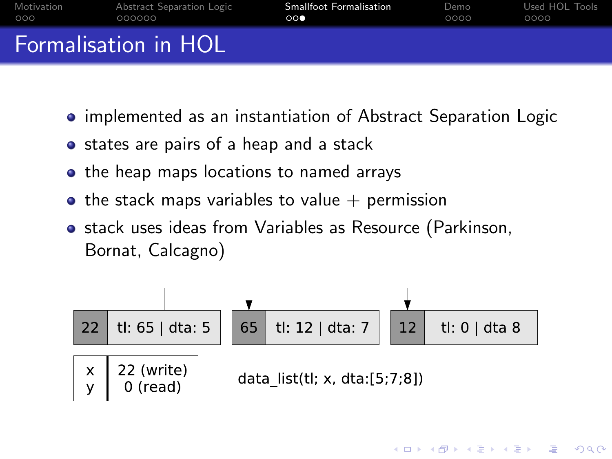| Motivation | Abstract Separation Logic   | <b>Smallfoot Formalisation</b> | Demo | Used HOL Tools |
|------------|-----------------------------|--------------------------------|------|----------------|
| 000        | 000000                      | $\circ \circ \bullet$          | 0000 | 0000           |
|            | <b>Formalisation in HOL</b> |                                |      |                |

- **implemented as an instantiation of Abstract Separation Logic**
- states are pairs of a heap and a stack
- the heap maps locations to named arrays
- $\bullet$  the stack maps variables to value  $+$  permission
- **•** stack uses ideas from Variables as Resource (Parkinson, Bornat, Calcagno)

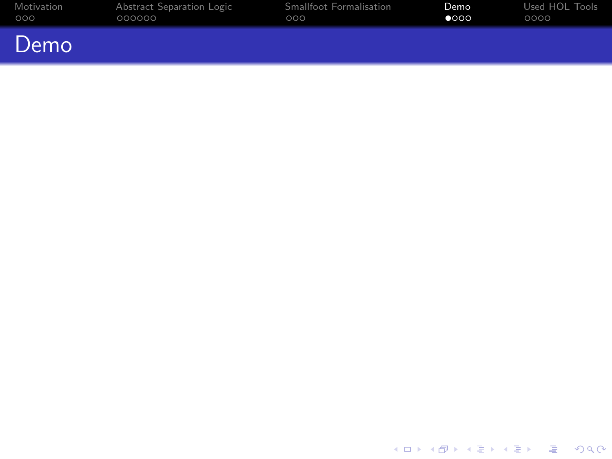| Motivation | Abstract Separation Logic | Smallfoot Formalisation | Demo          | Used HOL Tools |
|------------|---------------------------|-------------------------|---------------|----------------|
| 000        | 000000                    | 000                     | $\bullet$ 000 | 0000           |
| Demo       |                           |                         |               |                |

<span id="page-13-0"></span>イロトメタトメミトメミト (毛) の女々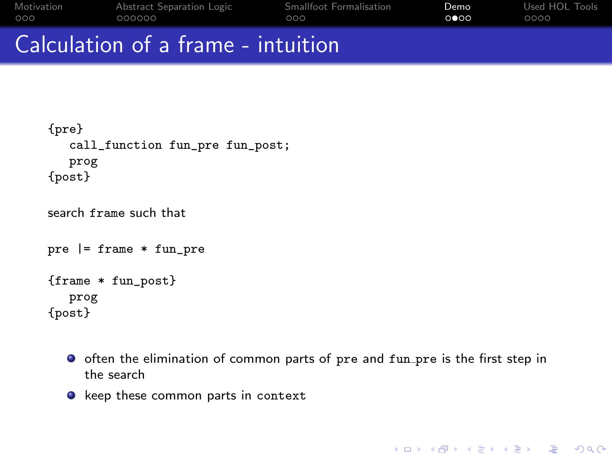|            | Calculation of a frame intuition |                         |      |                |
|------------|----------------------------------|-------------------------|------|----------------|
| OOO.       | 000000                           | റററ                     | ററേറ | ററററ           |
| Motivation | Abstract Separation Logic        | Smallfoot Formalisation | Demo | Used HOL Tools |

## Calculation of a frame - intuition

```
{pre}
   call_function fun_pre fun_post;
   prog
{post}
```

```
search frame such that
```

```
pre |= frame * fun_pre
{frame * fun_post}
  prog
{post}
```
- **O** often the elimination of common parts of pre and fun pre is the first step in the search
- $\bullet$  keep these common parts in context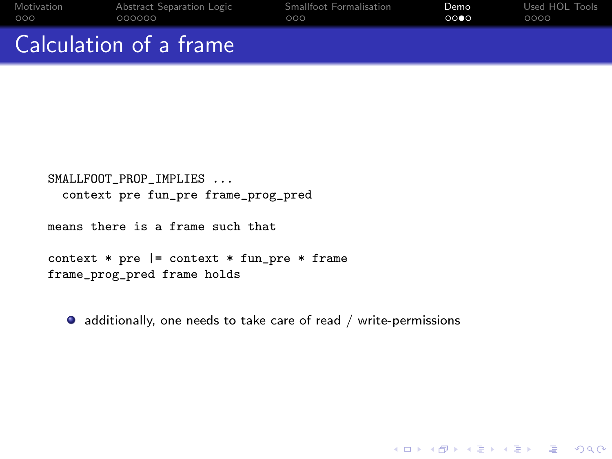| Motivation             | Abstract Separation Logic | Smallfoot Formalisation | Demo | Used HOL Tools |
|------------------------|---------------------------|-------------------------|------|----------------|
| 000                    | 000000                    | റററ                     | 0000 | 0000           |
| Calculation of a frame |                           |                         |      |                |

```
SMALLFOOT_PROP_IMPLIES ...
 context pre fun_pre frame_prog_pred
```
means there is a frame such that

```
context * pre | = context * fun_pre * frame
frame_prog_pred frame holds
```
additionally, one needs to take care of read / write-permissions

**KORK EXTERNE PROVIDE**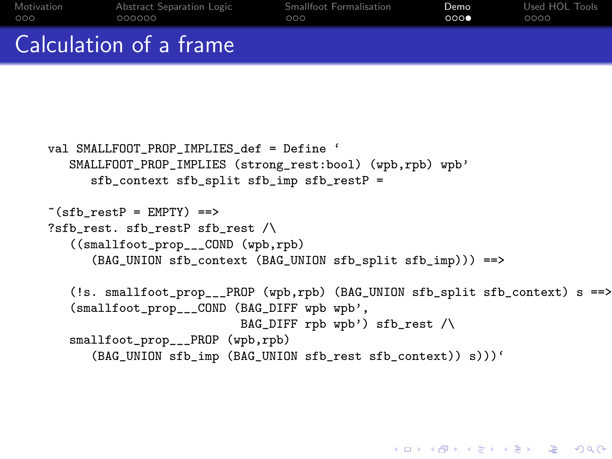| Motivation             | Abstract Separation Logic | Smallfoot Formalisation | Demo | Used HOL Tools |
|------------------------|---------------------------|-------------------------|------|----------------|
| 000                    | 000000                    | റററ                     | 0000 | 0000           |
| Calculation of a frame |                           |                         |      |                |

```
val SMALLFOOT PROP IMPLIES def = Define '
   SMALLFOOT_PROP_IMPLIES (strong_rest:bool) (wpb,rpb) wpb'
      sfb_context sfb_split sfb_imp sfb_restP =
*(sfb \text{ restP = EMPTY}) ==>
?sfb rest. sfb restP sfb rest \land((smallfoot_prop___COND (wpb,rpb)
      (BAG_UNION sfb_context (BAG_UNION sfb_split sfb_imp))) ==>
   (!s. smallfoot_prop___PROP (wpb,rpb) (BAG_UNION sfb_split sfb_context) s ==>
   (smallfoot_prop___COND (BAG_DIFF wpb wpb',
                           BAG_DIFF rpb wpb') sfb_rest /\
   smallfoot_prop___PROP (wpb,rpb)
      (BAG_UNION sfb_imp (BAG_UNION sfb_rest sfb_context)) s)))'
```
**KORK EX KEY KEY KORA**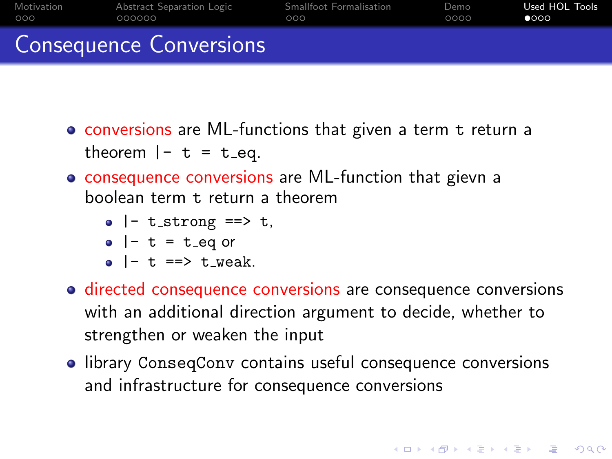| Motivation | Abstract Separation Logic      | Smallfoot Formalisation | Demo | Used HOL Tools |
|------------|--------------------------------|-------------------------|------|----------------|
| 000        | 000000                         | റററ                     | 0000 | 0000           |
|            | <b>Consequence Conversions</b> |                         |      |                |

- conversions are ML-functions that given a term t return a theorem  $|- t = t$  eq.
- consequence conversions are ML-function that gievn a boolean term t return a theorem

$$
\bullet \ \mid^{\mathord{\text{--}}} \ \texttt{t\_strong} \ \texttt{==>} \ \texttt{t},
$$

$$
\bullet \ \mid - \ t = t \text{\_eq or}
$$

- $\bullet$  |- t ==> t\_weak.
- directed consequence conversions are consequence conversions with an additional direction argument to decide, whether to strengthen or weaken the input
- <span id="page-17-0"></span>**•** library ConseqConv contains useful consequence conversions and infrastructure for consequence conversions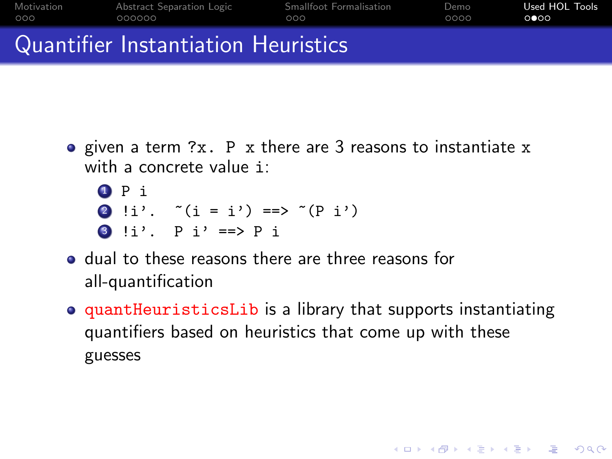| Motivation | Abstract Separation Logic           | Smallfoot Formalisation | Demo | Used HOL Tools |
|------------|-------------------------------------|-------------------------|------|----------------|
| 000        | 000000                              | റററ                     | 0000 | ററേറ           |
|            | Quantifier Instantiation Heuristics |                         |      |                |

- given a term ?x. P x there are 3 reasons to instantiate x with a concrete value i:
	- <sup>1</sup> P i 2 !i'.  $*(i = i') == > ((p i')')$ 3 !i'.  $P i' == P i$
- dual to these reasons there are three reasons for all-quantification
- quantHeuristicsLib is a library that supports instantiating quantifiers based on heuristics that come up with these guesses

**KORK EX KEY KEY KORA**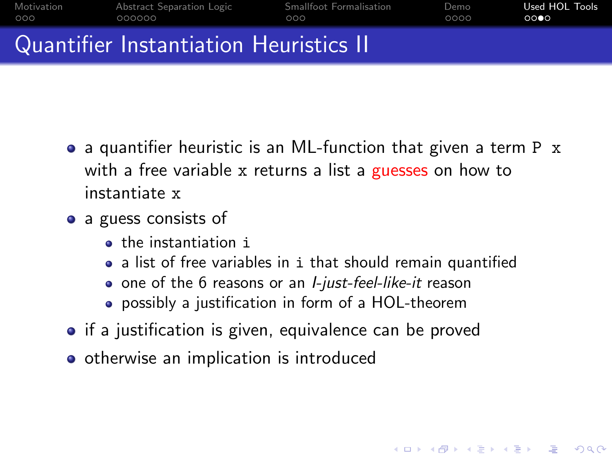| Motivation | Abstract Separation Logic              | Smallfoot Formalisation | Demo | Used HOL Tools |
|------------|----------------------------------------|-------------------------|------|----------------|
| 000        | 000000                                 | റററ                     | ററററ | 0000           |
|            | Quantifier Instantiation Heuristics II |                         |      |                |

- a quantifier heuristic is an ML-function that given a term P x with a free variable x returns a list a guesses on how to instantiate x
- a guess consists of
	- **o** the instantiation i
	- a list of free variables in i that should remain quantified

- one of the 6 reasons or an *I-just-feel-like-it* reason
- possibly a justification in form of a HOL-theorem
- if a justification is given, equivalence can be proved
- otherwise an implication is introduced